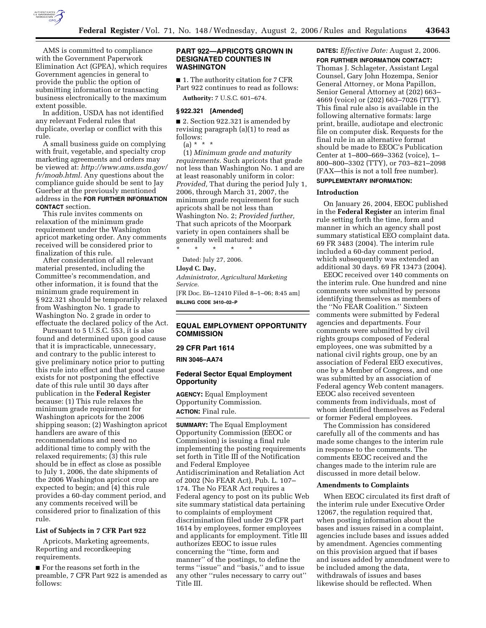

AMS is committed to compliance with the Government Paperwork Elimination Act (GPEA), which requires Government agencies in general to provide the public the option of submitting information or transacting business electronically to the maximum extent possible.

In addition, USDA has not identified any relevant Federal rules that duplicate, overlap or conflict with this rule.

A small business guide on complying with fruit, vegetable, and specialty crop marketing agreements and orders may be viewed at: *http://www.ams.usda.gov/ fv/moab.html.* Any questions about the compliance guide should be sent to Jay Guerber at the previously mentioned address in the **FOR FURTHER INFORMATION CONTACT** section.

This rule invites comments on relaxation of the minimum grade requirement under the Washington apricot marketing order. Any comments received will be considered prior to finalization of this rule.

After consideration of all relevant material presented, including the Committee's recommendation, and other information, it is found that the minimum grade requirement in § 922.321 should be temporarily relaxed from Washington No. 1 grade to Washington No. 2 grade in order to effectuate the declared policy of the Act.

Pursuant to 5 U.S.C. 553, it is also found and determined upon good cause that it is impracticable, unnecessary, and contrary to the public interest to give preliminary notice prior to putting this rule into effect and that good cause exists for not postponing the effective date of this rule until 30 days after publication in the **Federal Register**  because: (1) This rule relaxes the minimum grade requirement for Washington apricots for the 2006 shipping season; (2) Washington apricot handlers are aware of this recommendations and need no additional time to comply with the relaxed requirements; (3) this rule should be in effect as close as possible to July 1, 2006, the date shipments of the 2006 Washington apricot crop are expected to begin; and (4) this rule provides a 60-day comment period, and any comments received will be considered prior to finalization of this rule.

## **List of Subjects in 7 CFR Part 922**

Apricots, Marketing agreements, Reporting and recordkeeping requirements.

■ For the reasons set forth in the preamble, 7 CFR Part 922 is amended as follows:

## **PART 922—APRICOTS GROWN IN DESIGNATED COUNTIES IN WASHINGTON**

■ 1. The authority citation for 7 CFR Part 922 continues to read as follows:

**Authority:** 7 U.S.C. 601–674.

#### **§ 922.321 [Amended]**

■ 2. Section 922.321 is amended by revising paragraph (a)(1) to read as follows:

 $(a) * * * *$ 

(1) *Minimum grade and maturity requirements.* Such apricots that grade not less than Washington No. 1 and are at least reasonably uniform in color: *Provided,* That during the period July 1, 2006, through March 31, 2007, the minimum grade requirement for such apricots shall be not less than Washington No. 2; *Provided further,*  That such apricots of the Moorpark variety in open containers shall be generally well matured: and \* \* \* \* \*

Dated: July 27, 2006. **Lloyd C. Day,** 

*Administrator, Agricultural Marketing Service.* 

[FR Doc. E6–12410 Filed 8–1–06; 8:45 am] **BILLING CODE 3410–02–P** 

# **EQUAL EMPLOYMENT OPPORTUNITY COMMISSION**

# **29 CFR Part 1614**

**RIN 3046–AA74** 

# **Federal Sector Equal Employment Opportunity**

**AGENCY:** Equal Employment Opportunity Commission. **ACTION:** Final rule.

**SUMMARY:** The Equal Employment Opportunity Commission (EEOC or Commission) is issuing a final rule implementing the posting requirements set forth in Title III of the Notification and Federal Employee Antidiscrimination and Retaliation Act of 2002 (No FEAR Act), Pub. L. 107– 174. The No FEAR Act requires a Federal agency to post on its public Web site summary statistical data pertaining to complaints of employment discrimination filed under 29 CFR part 1614 by employees, former employees and applicants for employment. Title III authorizes EEOC to issue rules concerning the ''time, form and manner'' of the postings, to define the terms ''issue'' and ''basis,'' and to issue any other ''rules necessary to carry out'' Title III.

# **DATES:** *Effective Date:* August 2, 2006.

**FOR FURTHER INFORMATION CONTACT:**  Thomas J. Schlageter, Assistant Legal Counsel, Gary John Hozempa, Senior General Attorney, or Mona Papillon, Senior General Attorney at (202) 663– 4669 (voice) or (202) 663–7026 (TTY). This final rule also is available in the following alternative formats: large print, braille, audiotape and electronic file on computer disk. Requests for the final rule in an alternative format should be made to EEOC's Publication Center at 1–800–669–3362 (voice), 1– 800–800–3302 (TTY), or 703–821–2098 (FAX—this is not a toll free number).

# **SUPPLEMENTARY INFORMATION:**

## **Introduction**

On January 26, 2004, EEOC published in the **Federal Register** an interim final rule setting forth the time, form and manner in which an agency shall post summary statistical EEO complaint data. 69 FR 3483 (2004). The interim rule included a 60-day comment period, which subsequently was extended an additional 30 days. 69 FR 13473 (2004).

EEOC received over 140 comments on the interim rule. One hundred and nine comments were submitted by persons identifying themselves as members of the ''No FEAR Coalition.'' Sixteen comments were submitted by Federal agencies and departments. Four comments were submitted by civil rights groups composed of Federal employees, one was submitted by a national civil rights group, one by an association of Federal EEO executives, one by a Member of Congress, and one was submitted by an association of Federal agency Web content managers. EEOC also received seventeen comments from individuals, most of whom identified themselves as Federal or former Federal employees.

The Commission has considered carefully all of the comments and has made some changes to the interim rule in response to the comments. The comments EEOC received and the changes made to the interim rule are discussed in more detail below.

#### **Amendments to Complaints**

When EEOC circulated its first draft of the interim rule under Executive Order 12067, the regulation required that, when posting information about the bases and issues raised in a complaint, agencies include bases and issues added by amendment. Agencies commenting on this provision argued that if bases and issues added by amendment were to be included among the data, withdrawals of issues and bases likewise should be reflected. When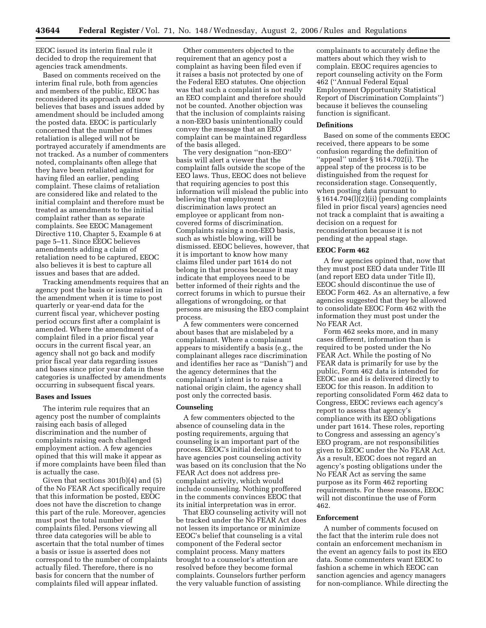EEOC issued its interim final rule it decided to drop the requirement that agencies track amendments.

Based on comments received on the interim final rule, both from agencies and members of the public, EEOC has reconsidered its approach and now believes that bases and issues added by amendment should be included among the posted data. EEOC is particularly concerned that the number of times retaliation is alleged will not be portrayed accurately if amendments are not tracked. As a number of commenters noted, complainants often allege that they have been retaliated against for having filed an earlier, pending complaint. These claims of retaliation are considered like and related to the initial complaint and therefore must be treated as amendments to the initial complaint rather than as separate complaints. See EEOC Management Directive 110, Chapter 5, Example 6 at page 5–11. Since EEOC believes amendments adding a claim of retaliation need to be captured, EEOC also believes it is best to capture all issues and bases that are added.

Tracking amendments requires that an agency post the basis or issue raised in the amendment when it is time to post quarterly or year-end data for the current fiscal year, whichever posting period occurs first after a complaint is amended. Where the amendment of a complaint filed in a prior fiscal year occurs in the current fiscal year, an agency shall not go back and modify prior fiscal year data regarding issues and bases since prior year data in these categories is unaffected by amendments occurring in subsequent fiscal years.

#### **Bases and Issues**

The interim rule requires that an agency post the number of complaints raising each basis of alleged discrimination and the number of complaints raising each challenged employment action. A few agencies opined that this will make it appear as if more complaints have been filed than is actually the case.

Given that sections 301(b)(4) and (5) of the No FEAR Act specifically require that this information be posted, EEOC does not have the discretion to change this part of the rule. Moreover, agencies must post the total number of complaints filed. Persons viewing all three data categories will be able to ascertain that the total number of times a basis or issue is asserted does not correspond to the number of complaints actually filed. Therefore, there is no basis for concern that the number of complaints filed will appear inflated.

Other commenters objected to the requirement that an agency post a complaint as having been filed even if it raises a basis not protected by one of the Federal EEO statutes. One objection was that such a complaint is not really an EEO complaint and therefore should not be counted. Another objection was that the inclusion of complaints raising a non-EEO basis unintentionally could convey the message that an EEO complaint can be maintained regardless of the basis alleged.

The very designation ''non-EEO'' basis will alert a viewer that the complaint falls outside the scope of the EEO laws. Thus, EEOC does not believe that requiring agencies to post this information will mislead the public into believing that employment discrimination laws protect an employee or applicant from noncovered forms of discrimination. Complaints raising a non-EEO basis, such as whistle blowing, will be dismissed. EEOC believes, however, that it is important to know how many claims filed under part 1614 do not belong in that process because it may indicate that employees need to be better informed of their rights and the correct forums in which to pursue their allegations of wrongdoing, or that persons are misusing the EEO complaint process.

A few commenters were concerned about bases that are mislabeled by a complainant. Where a complainant appears to misidentify a basis (e.g., the complainant alleges race discrimination and identifies her race as ''Danish'') and the agency determines that the complainant's intent is to raise a national origin claim, the agency shall post only the corrected basis.

#### **Counseling**

A few commenters objected to the absence of counseling data in the posting requirements, arguing that counseling is an important part of the process. EEOC's initial decision not to have agencies post counseling activity was based on its conclusion that the No FEAR Act does not address precomplaint activity, which would include counseling. Nothing proffered in the comments convinces EEOC that its initial interpretation was in error.

That EEO counseling activity will not be tracked under the No FEAR Act does not lessen its importance or minimize EEOC's belief that counseling is a vital component of the Federal sector complaint process. Many matters brought to a counselor's attention are resolved before they become formal complaints. Counselors further perform the very valuable function of assisting

complainants to accurately define the matters about which they wish to complain. EEOC requires agencies to report counseling activity on the Form 462 (''Annual Federal Equal Employment Opportunity Statistical Report of Discrimination Complaints'') because it believes the counseling function is significant.

# **Definitions**

Based on some of the comments EEOC received, there appears to be some confusion regarding the definition of ''appeal'' under § 1614.702(i). The appeal step of the process is to be distinguished from the request for reconsideration stage. Consequently, when posting data pursuant to § 1614.704(l)(2)(ii) (pending complaints filed in prior fiscal years) agencies need not track a complaint that is awaiting a decision on a request for reconsideration because it is not pending at the appeal stage.

#### **EEOC Form 462**

A few agencies opined that, now that they must post EEO data under Title III (and report EEO data under Title II), EEOC should discontinue the use of EEOC Form 462. As an alternative, a few agencies suggested that they be allowed to consolidate EEOC Form 462 with the information they must post under the No FEAR Act.

Form 462 seeks more, and in many cases different, information than is required to be posted under the No FEAR Act. While the posting of No FEAR data is primarily for use by the public, Form 462 data is intended for EEOC use and is delivered directly to EEOC for this reason. In addition to reporting consolidated Form 462 data to Congress, EEOC reviews each agency's report to assess that agency's compliance with its EEO obligations under part 1614. These roles, reporting to Congress and assessing an agency's EEO program, are not responsibilities given to EEOC under the No FEAR Act. As a result, EEOC does not regard an agency's posting obligations under the No FEAR Act as serving the same purpose as its Form 462 reporting requirements. For these reasons, EEOC will not discontinue the use of Form 462.

# **Enforcement**

A number of comments focused on the fact that the interim rule does not contain an enforcement mechanism in the event an agency fails to post its EEO data. Some commenters want EEOC to fashion a scheme in which EEOC can sanction agencies and agency managers for non-compliance. While directing the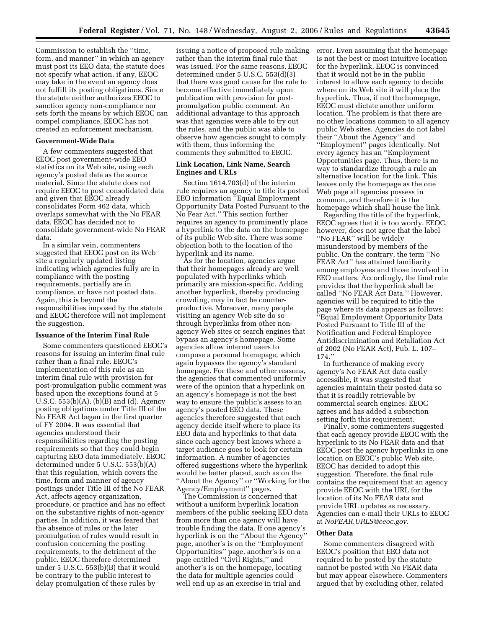Commission to establish the ''time, form, and manner'' in which an agency must post its EEO data, the statute does not specify what action, if any, EEOC may take in the event an agency does not fulfill its posting obligations. Since the statute neither authorizes EEOC to sanction agency non-compliance nor sets forth the means by which EEOC can compel compliance, EEOC has not created an enforcement mechanism.

#### **Government-Wide Data**

A few commenters suggested that EEOC post government-wide EEO statistics on its Web site, using each agency's posted data as the source material. Since the statute does not require EEOC to post consolidated data and given that EEOC already consolidates Form 462 data, which overlaps somewhat with the No FEAR data, EEOC has decided not to consolidate government-wide No FEAR data.

In a similar vein, commenters suggested that EEOC post on its Web site a regularly updated listing indicating which agencies fully are in compliance with the posting requirements, partially are in compliance, or have not posted data. Again, this is beyond the responsibilities imposed by the statute and EEOC therefore will not implement the suggestion.

## **Issuance of the Interim Final Rule**

Some commenters questioned EEOC's reasons for issuing an interim final rule rather than a final rule. EEOC's implementation of this rule as an interim final rule with provision for post-promulgation public comment was based upon the exceptions found at 5 U.S.C. 553(b)(A), (b)(B) and (d). Agency posting obligations under Title III of the No FEAR Act began in the first quarter of FY 2004. It was essential that agencies understood their responsibilities regarding the posting requirements so that they could begin capturing EEO data immediately. EEOC determined under 5 U.S.C. 553(b)(A) that this regulation, which covers the time, form and manner of agency postings under Title III of the No FEAR Act, affects agency organization, procedure, or practice and has no effect on the substantive rights of non-agency parties. In addition, it was feared that the absence of rules or the later promulgation of rules would result in confusion concerning the posting requirements, to the detriment of the public. EEOC therefore determined under 5 U.S.C. 553(b)(B) that it would be contrary to the public interest to delay promulgation of these rules by

issuing a notice of proposed rule making rather than the interim final rule that was issued. For the same reasons, EEOC determined under 5 U.S.C. 553(d)(3) that there was good cause for the rule to become effective immediately upon publication with provision for postpromulgation public comment. An additional advantage to this approach was that agencies were able to try out the rules, and the public was able to observe how agencies sought to comply with them, thus informing the comments they submitted to EEOC.

# **Link Location, Link Name, Search Engines and URLs**

Section 1614.703(d) of the interim rule requires an agency to title its posted EEO information ''Equal Employment Opportunity Data Posted Pursuant to the No Fear Act.'' This section further requires an agency to prominently place a hyperlink to the data on the homepage of its public Web site. There was some objection both to the location of the hyperlink and its name.

As for the location, agencies argue that their homepages already are well populated with hyperlinks which primarily are mission-specific. Adding another hyperlink, thereby producing crowding, may in fact be counterproductive. Moreover, many people visiting an agency Web site do so through hyperlinks from other nonagency Web sites or search engines that bypass an agency's homepage. Some agencies allow internet users to compose a personal homepage, which again bypasses the agency's standard homepage. For these and other reasons, the agencies that commented uniformly were of the opinion that a hyperlink on an agency's homepage is not the best way to ensure the public's assess to an agency's posted EEO data. These agencies therefore suggested that each agency decide itself where to place its EEO data and hyperlinks to that data since each agency best knows where a target audience goes to look for certain information. A number of agencies offered suggestions where the hyperlink would be better placed, such as on the ''About the Agency'' or ''Working for the Agency/Employment'' pages.

The Commission is concerned that without a uniform hyperlink location members of the public seeking EEO data from more than one agency will have trouble finding the data. If one agency's hyperlink is on the ''About the Agency'' page, another's is on the ''Employment Opportunities'' page, another's is on a page entitled ''Civil Rights,'' and another's is on the homepage, locating the data for multiple agencies could well end up as an exercise in trial and

error. Even assuming that the homepage is not the best or most intuitive location for the hyperlink, EEOC is convinced that it would not be in the public interest to allow each agency to decide where on its Web site it will place the hyperlink. Thus, if not the homepage, EEOC must dictate another uniform location. The problem is that there are no other locations common to all agency public Web sites. Agencies do not label their ''About the Agency'' and ''Employment'' pages identically. Not every agency has an ''Employment Opportunities page. Thus, there is no way to standardize through a rule an alternative location for the link. This leaves only the homepage as the one Web page all agencies possess in common, and therefore it is the homepage which shall house the link.

Regarding the title of the hyperlink, EEOC agrees that it is too wordy. EEOC, however, does not agree that the label ''No FEAR'' will be widely misunderstood by members of the public. On the contrary, the term ''No FEAR Act'' has attained familiarity among employees and those involved in EEO matters. Accordingly, the final rule provides that the hyperlink shall be called ''No FEAR Act Data.'' However, agencies will be required to title the page where its data appears as follows: ''Equal Employment Opportunity Data Posted Pursuant to Title III of the Notification and Federal Employee Antidiscrimination and Retaliation Act of 2002 (No FEAR Act), Pub. L. 107– 174.''

In furtherance of making every agency's No FEAR Act data easily accessible, it was suggested that agencies maintain their posted data so that it is readily retrievable by commercial search engines. EEOC agrees and has added a subsection setting forth this requirement.

Finally, some commenters suggested that each agency provide EEOC with the hyperlink to its No FEAR data and that EEOC post the agency hyperlinks in one location on EEOC's public Web site. EEOC has decided to adopt this suggestion. Therefore, the final rule contains the requirement that an agency provide EEOC with the URL for the location of its No FEAR data and provide URL updates as necessary. Agencies can e-mail their URLs to EEOC at *NoFEAR.URLS@eeoc.gov.* 

## **Other Data**

Some commenters disagreed with EEOC's position that EEO data not required to be posted by the statute cannot be posted with No FEAR data but may appear elsewhere. Commenters argued that by excluding other, related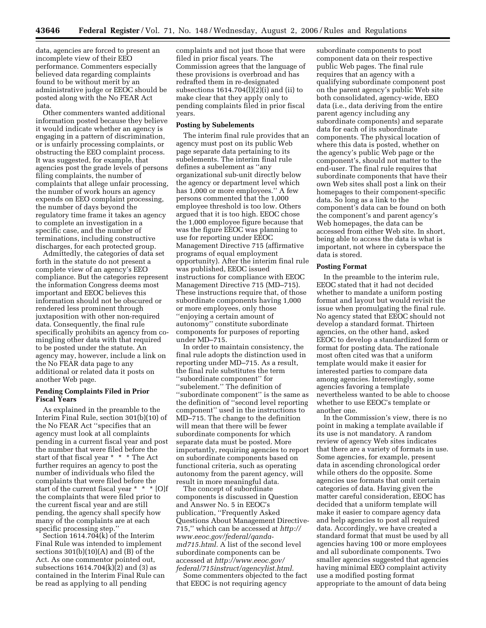data, agencies are forced to present an incomplete view of their EEO performance. Commenters especially believed data regarding complaints found to be without merit by an administrative judge or EEOC should be posted along with the No FEAR Act data.

Other commenters wanted additional information posted because they believe it would indicate whether an agency is engaging in a pattern of discrimination, or is unfairly processing complaints, or obstructing the EEO complaint process. It was suggested, for example, that agencies post the grade levels of persons filing complaints, the number of complaints that allege unfair processing, the number of work hours an agency expends on EEO complaint processing, the number of days beyond the regulatory time frame it takes an agency to complete an investigation in a specific case, and the number of terminations, including constructive discharges, for each protected group.

Admittedly, the categories of data set forth in the statute do not present a complete view of an agency's EEO compliance. But the categories represent the information Congress deems most important and EEOC believes this information should not be obscured or rendered less prominent through juxtaposition with other non-required data. Consequently, the final rule specifically prohibits an agency from comingling other data with that required to be posted under the statute. An agency may, however, include a link on the No FEAR data page to any additional or related data it posts on another Web page.

# **Pending Complaints Filed in Prior Fiscal Years**

As explained in the preamble to the Interim Final Rule, section 301(b)(10) of the No FEAR Act ''specifies that an agency must look at all complaints pending in a current fiscal year and post the number that were filed before the start of that fiscal year \* \* \* The Act further requires an agency to post the number of individuals who filed the complaints that were filed before the start of the current fiscal year \* \* \* [O]f the complaints that were filed prior to the current fiscal year and are still pending, the agency shall specify how many of the complaints are at each specific processing step.''

Section 1614.704(k) of the Interim Final Rule was intended to implement sections  $301(b)(10)(A)$  and  $(B)$  of the Act. As one commentor pointed out, subsections  $1614.704(k)\overline{2}$  and  $(3)$  as contained in the Interim Final Rule can be read as applying to all pending

complaints and not just those that were filed in prior fiscal years. The Commission agrees that the language of these provisions is overbroad and has redrafted them in re-designated subsections  $1614.704(1)(2)(i)$  and  $(ii)$  to make clear that they apply only to pending complaints filed in prior fiscal years.

# **Posting by Subelements**

The interim final rule provides that an agency must post on its public Web page separate data pertaining to its subelements. The interim final rule defines a subelement as ''any organizational sub-unit directly below the agency or department level which has 1,000 or more employees.'' A few persons commented that the 1,000 employee threshold is too low. Others argued that it is too high. EEOC chose the 1,000 employee figure because that was the figure EEOC was planning to use for reporting under EEOC Management Directive 715 (affirmative programs of equal employment opportunity). After the interim final rule was published, EEOC issued instructions for compliance with EEOC Management Directive 715 (MD–715). These instructions require that, of those subordinate components having 1,000 or more employees, only those ''enjoying a certain amount of autonomy'' constitute subordinate components for purposes of reporting under MD–715.

In order to maintain consistency, the final rule adopts the distinction used in reporting under MD–715. As a result, the final rule substitutes the term ''subordinate component'' for ''subelement.'' The definition of ''subordinate component'' is the same as the definition of ''second level reporting component'' used in the instructions to MD–715. The change to the definition will mean that there will be fewer subordinate components for which separate data must be posted. More importantly, requiring agencies to report on subordinate components based on functional criteria, such as operating autonomy from the parent agency, will result in more meaningful data.

The concept of subordinate components is discussed in Question and Answer No. 5 in EEOC's publication, ''Frequently Asked Questions About Management Directive-715,'' which can be accessed at *http:// www.eeoc.gov/federal/qandamd715.html.* A list of the second level subordinate components can be accessed at *http://www.eeoc.gov/ federal/715instruct/agencylist.html.* 

Some commenters objected to the fact that EEOC is not requiring agency

subordinate components to post component data on their respective public Web pages. The final rule requires that an agency with a qualifying subordinate component post on the parent agency's public Web site both consolidated, agency-wide, EEO data (i.e., data deriving from the entire parent agency including any subordinate components) and separate data for each of its subordinate components. The physical location of where this data is posted, whether on the agency's public Web page or the component's, should not matter to the end-user. The final rule requires that subordinate components that have their own Web sites shall post a link on their homepages to their component-specific data. So long as a link to the component's data can be found on both the component's and parent agency's Web homepages, the data can be accessed from either Web site. In short, being able to access the data is what is important, not where in cyberspace the data is stored.

# **Posting Format**

In the preamble to the interim rule, EEOC stated that it had not decided whether to mandate a uniform posting format and layout but would revisit the issue when promulgating the final rule. No agency stated that EEOC should not develop a standard format. Thirteen agencies, on the other hand, asked EEOC to develop a standardized form or format for posting data. The rationale most often cited was that a uniform template would make it easier for interested parties to compare data among agencies. Interestingly, some agencies favoring a template nevertheless wanted to be able to choose whether to use EEOC's template or another one.

In the Commission's view, there is no point in making a template available if its use is not mandatory. A random review of agency Web sites indicates that there are a variety of formats in use. Some agencies, for example, present data in ascending chronological order while others do the opposite. Some agencies use formats that omit certain categories of data. Having given the matter careful consideration, EEOC has decided that a uniform template will make it easier to compare agency data and help agencies to post all required data. Accordingly, we have created a standard format that must be used by all agencies having 100 or more employees and all subordinate components. Two smaller agencies suggested that agencies having minimal EEO complaint activity use a modified posting format appropriate to the amount of data being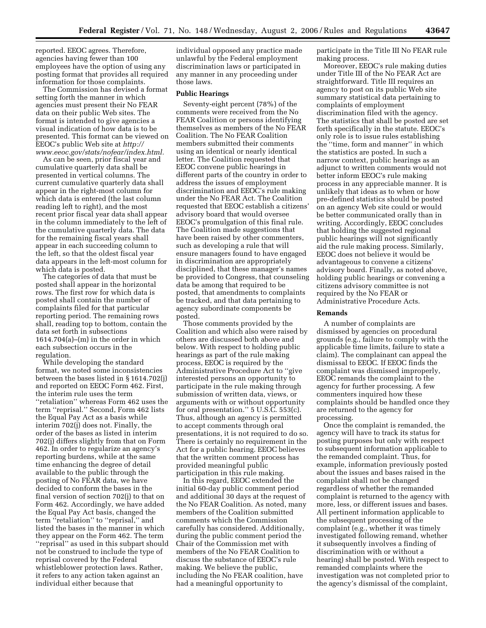reported. EEOC agrees. Therefore, agencies having fewer than 100 employees have the option of using any posting format that provides all required information for those complaints.

The Commission has devised a format setting forth the manner in which agencies must present their No FEAR data on their public Web sites. The format is intended to give agencies a visual indication of how data is to be presented. This format can be viewed on EEOC's public Web site at *http:// www.eeoc.gov/stats/nofear/index.html.* 

As can be seen, prior fiscal year and cumulative quarterly data shall be presented in vertical columns. The current cumulative quarterly data shall appear in the right-most column for which data is entered (the last column reading left to right), and the most recent prior fiscal year data shall appear in the column immediately to the left of the cumulative quarterly data. The data for the remaining fiscal years shall appear in each succeeding column to the left, so that the oldest fiscal year data appears in the left-most column for which data is posted.

The categories of data that must be posted shall appear in the horizontal rows. The first row for which data is posted shall contain the number of complaints filed for that particular reporting period. The remaining rows shall, reading top to bottom, contain the data set forth in subsections 1614.704(a)–(m) in the order in which each subsection occurs in the regulation.

While developing the standard format, we noted some inconsistencies between the bases listed in § 1614.702(j) and reported on EEOC Form 462. First, the interim rule uses the term ''retaliation'' whereas Form 462 uses the term ''reprisal.'' Second, Form 462 lists the Equal Pay Act as a basis while interim 702(j) does not. Finally, the order of the bases as listed in interim 702(j) differs slightly from that on Form 462. In order to regularize an agency's reporting burdens, while at the same time enhancing the degree of detail available to the public through the posting of No FEAR data, we have decided to conform the bases in the final version of section 702(j) to that on Form 462. Accordingly, we have added the Equal Pay Act basis, changed the term ''retaliation'' to ''reprisal,'' and listed the bases in the manner in which they appear on the Form 462. The term ''reprisal'' as used in this subpart should not be construed to include the type of reprisal covered by the Federal whistleblower protection laws. Rather, it refers to any action taken against an individual either because that

individual opposed any practice made unlawful by the Federal employment discrimination laws or participated in any manner in any proceeding under those laws.

#### **Public Hearings**

Seventy-eight percent (78%) of the comments were received from the No FEAR Coalition or persons identifying themselves as members of the No FEAR Coalition. The No FEAR Coalition members submitted their comments using an identical or nearly identical letter. The Coalition requested that EEOC convene public hearings in different parts of the country in order to address the issues of employment discrimination and EEOC's rule making under the No FEAR Act. The Coalition requested that EEOC establish a citizens' advisory board that would oversee EEOC's promulgation of this final rule. The Coalition made suggestions that have been raised by other commenters, such as developing a rule that will ensure managers found to have engaged in discrimination are appropriately disciplined, that these manager's names be provided to Congress, that counseling data be among that required to be posted, that amendments to complaints be tracked, and that data pertaining to agency subordinate components be posted.

Those comments provided by the Coalition and which also were raised by others are discussed both above and below. With respect to holding public hearings as part of the rule making process, EEOC is required by the Administrative Procedure Act to ''give interested persons an opportunity to participate in the rule making through submission of written data, views, or arguments with or without opportunity for oral presentation.'' 5 U.S.C. 553(c). Thus, although an agency is permitted to accept comments through oral presentations, it is not required to do so. There is certainly no requirement in the Act for a public hearing. EEOC believes that the written comment process has provided meaningful public participation in this rule making.

In this regard, EEOC extended the initial 60-day public comment period and additional 30 days at the request of the No FEAR Coalition. As noted, many members of the Coalition submitted comments which the Commission carefully has considered. Additionally, during the public comment period the Chair of the Commission met with members of the No FEAR Coalition to discuss the substance of EEOC's rule making. We believe the public, including the No FEAR coalition, have had a meaningful opportunity to

participate in the Title III No FEAR rule making process.

Moreover, EEOC's rule making duties under Title III of the No FEAR Act are straightforward. Title III requires an agency to post on its public Web site summary statistical data pertaining to complaints of employment discrimination filed with the agency. The statistics that shall be posted are set forth specifically in the statute. EEOC's only role is to issue rules establishing the ''time, form and manner'' in which the statistics are posted. In such a narrow context, public hearings as an adjunct to written comments would not better inform EEOC's rule making process in any appreciable manner. It is unlikely that ideas as to when or how pre-defined statistics should be posted on an agency Web site could or would be better communicated orally than in writing. Accordingly, EEOC concludes that holding the suggested regional public hearings will not significantly aid the rule making process. Similarly, EEOC does not believe it would be advantageous to convene a citizens' advisory board. Finally, as noted above, holding public hearings or convening a citizens advisory committee is not required by the No FEAR or Administrative Procedure Acts.

#### **Remands**

A number of complaints are dismissed by agencies on procedural grounds (e.g., failure to comply with the applicable time limits, failure to state a claim). The complainant can appeal the dismissal to EEOC. If EEOC finds the complaint was dismissed improperly, EEOC remands the complaint to the agency for further processing. A few commenters inquired how these complaints should be handled once they are returned to the agency for processing.

Once the complaint is remanded, the agency will have to track its status for posting purposes but only with respect to subsequent information applicable to the remanded complaint. Thus, for example, information previously posted about the issues and bases raised in the complaint shall not be changed regardless of whether the remanded complaint is returned to the agency with more, less, or different issues and bases. All pertinent information applicable to the subsequent processing of the complaint (e.g., whether it was timely investigated following remand, whether it subsequently involves a finding of discrimination with or without a hearing) shall be posted. With respect to remanded complaints where the investigation was not completed prior to the agency's dismissal of the complaint,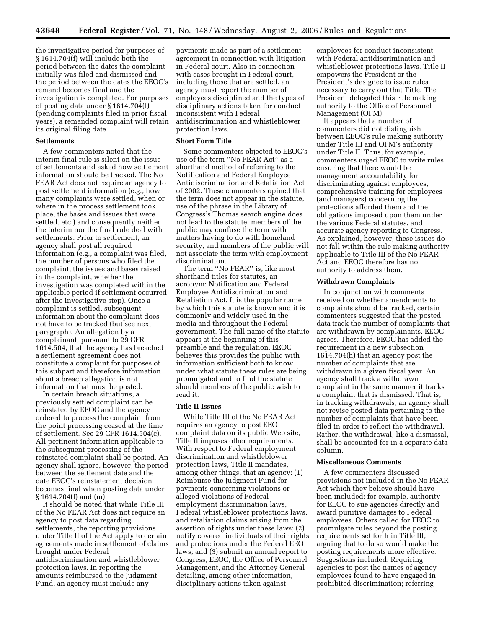the investigative period for purposes of § 1614.704(f) will include both the period between the dates the complaint initially was filed and dismissed and the period between the dates the EEOC's remand becomes final and the investigation is completed. For purposes of posting data under § 1614.704(l) (pending complaints filed in prior fiscal years), a remanded complaint will retain its original filing date.

#### **Settlements**

A few commenters noted that the interim final rule is silent on the issue of settlements and asked how settlement information should be tracked. The No FEAR Act does not require an agency to post settlement information (e.g., how many complaints were settled, when or where in the process settlement took place, the bases and issues that were settled, etc.) and consequently neither the interim nor the final rule deal with settlements. Prior to settlement, an agency shall post all required information (e.g., a complaint was filed, the number of persons who filed the complaint, the issues and bases raised in the complaint, whether the investigation was completed within the applicable period if settlement occurred after the investigative step). Once a complaint is settled, subsequent information about the complaint does not have to be tracked (but see next paragraph). An allegation by a complainant, pursuant to 29 CFR 1614.504, that the agency has breached a settlement agreement does not constitute a complaint for purposes of this subpart and therefore information about a breach allegation is not information that must be posted.

In certain breach situations, a previously settled complaint can be reinstated by EEOC and the agency ordered to process the complaint from the point processing ceased at the time of settlement. See 29 CFR 1614.504(c). All pertinent information applicable to the subsequent processing of the reinstated complaint shall be posted. An agency shall ignore, however, the period between the settlement date and the date EEOC's reinstatement decision becomes final when posting data under § 1614.704(f) and (m).

It should be noted that while Title III of the No FEAR Act does not require an agency to post data regarding settlements, the reporting provisions under Title II of the Act apply to certain agreements made in settlement of claims brought under Federal antidiscrimination and whistleblower protection laws. In reporting the amounts reimbursed to the Judgment Fund, an agency must include any

payments made as part of a settlement agreement in connection with litigation in Federal court. Also in connection with cases brought in Federal court, including those that are settled, an agency must report the number of employees disciplined and the types of disciplinary actions taken for conduct inconsistent with Federal antidiscrimination and whistleblower protection laws.

#### **Short Form Title**

Some commenters objected to EEOC's use of the term ''No FEAR Act'' as a shorthand method of referring to the Notification and Federal Employee Antidiscrimination and Retaliation Act of 2002. These commenters opined that the term does not appear in the statute, use of the phrase in the Library of Congress's Thomas search engine does not lead to the statute, members of the public may confuse the term with matters having to do with homeland security, and members of the public will not associate the term with employment discrimination.

The term ''No FEAR'' is, like most shorthand titles for statutes, an acronym: **N**otification and **F**ederal **E**mployee **A**ntidiscrimination and **R**etaliation Act. It is the popular name by which this statute is known and it is commonly and widely used in the media and throughout the Federal government. The full name of the statute appears at the beginning of this preamble and the regulation. EEOC believes this provides the public with information sufficient both to know under what statute these rules are being promulgated and to find the statute should members of the public wish to read it.

# **Title II Issues**

While Title III of the No FEAR Act requires an agency to post EEO complaint data on its public Web site, Title II imposes other requirements. With respect to Federal employment discrimination and whistleblower protection laws, Title II mandates, among other things, that an agency: (1) Reimburse the Judgment Fund for payments concerning violations or alleged violations of Federal employment discrimination laws, Federal whistleblower protections laws, and retaliation claims arising from the assertion of rights under these laws; (2) notify covered individuals of their rights and protections under the Federal EEO laws; and (3) submit an annual report to Congress, EEOC, the Office of Personnel Management, and the Attorney General detailing, among other information, disciplinary actions taken against

employees for conduct inconsistent with Federal antidiscrimination and whistleblower protections laws. Title II empowers the President or the President's designee to issue rules necessary to carry out that Title. The President delegated this rule making authority to the Office of Personnel Management (OPM).

It appears that a number of commenters did not distinguish between EEOC's rule making authority under Title III and OPM's authority under Title II. Thus, for example, commenters urged EEOC to write rules ensuring that there would be management accountability for discriminating against employees, comprehensive training for employees (and managers) concerning the protections afforded them and the obligations imposed upon them under the various Federal statutes, and accurate agency reporting to Congress. As explained, however, these issues do not fall within the rule making authority applicable to Title III of the No FEAR Act and EEOC therefore has no authority to address them.

# **Withdrawn Complaints**

In conjunction with comments received on whether amendments to complaints should be tracked, certain commenters suggested that the posted data track the number of complaints that are withdrawn by complainants. EEOC agrees. Therefore, EEOC has added the requirement in a new subsection 1614.704(h) that an agency post the number of complaints that are withdrawn in a given fiscal year. An agency shall track a withdrawn complaint in the same manner it tracks a complaint that is dismissed. That is, in tracking withdrawals, an agency shall not revise posted data pertaining to the number of complaints that have been filed in order to reflect the withdrawal. Rather, the withdrawal, like a dismissal, shall be accounted for in a separate data column.

#### **Miscellaneous Comments**

A few commenters discussed provisions not included in the No FEAR Act which they believe should have been included; for example, authority for EEOC to sue agencies directly and award punitive damages to Federal employees. Others called for EEOC to promulgate rules beyond the posting requirements set forth in Title III, arguing that to do so would make the posting requirements more effective. Suggestions included: Requiring agencies to post the names of agency employees found to have engaged in prohibited discrimination; referring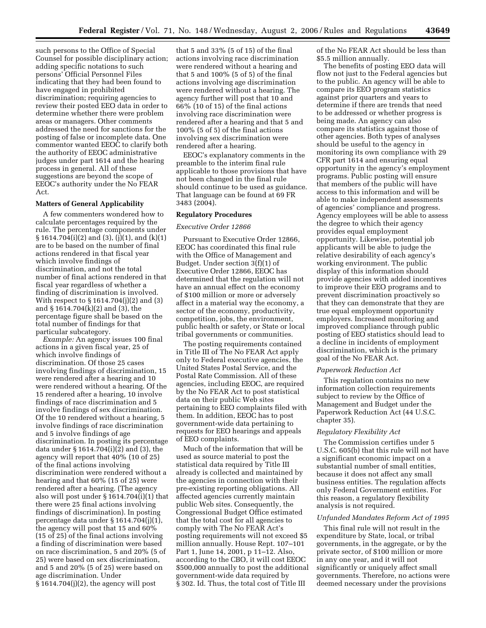such persons to the Office of Special Counsel for possible disciplinary action; adding specific notations to such persons' Official Personnel Files indicating that they had been found to have engaged in prohibited discrimination; requiring agencies to review their posted EEO data in order to determine whether there were problem areas or managers. Other comments addressed the need for sanctions for the posting of false or incomplete data. One commentor wanted EEOC to clarify both the authority of EEOC administrative judges under part 1614 and the hearing process in general. All of these suggestions are beyond the scope of EEOC's authority under the No FEAR Act.

#### **Matters of General Applicability**

A few commenters wondered how to calculate percentages required by the rule. The percentage components under  $\S 1614.704(i)(2)$  and  $(3)$ ,  $(i)(1)$ , and  $(k)(1)$ are to be based on the number of final actions rendered in that fiscal year which involve findings of discrimination, and not the total number of final actions rendered in that fiscal year regardless of whether a finding of discrimination is involved. With respect to § 1614.704(j)(2) and (3) and § 1614.704(k)(2) and (3), the percentage figure shall be based on the total number of findings for that particular subcategory.

*Example:* An agency issues 100 final actions in a given fiscal year, 25 of which involve findings of discrimination. Of those 25 cases involving findings of discrimination, 15 were rendered after a hearing and 10 were rendered without a hearing. Of the 15 rendered after a hearing, 10 involve findings of race discrimination and 5 involve findings of sex discrimination. Of the 10 rendered without a hearing, 5 involve findings of race discrimination and 5 involve findings of age discrimination. In posting its percentage data under § 1614.704(i)(2) and (3), the agency will report that 40% (10 of 25) of the final actions involving discrimination were rendered without a hearing and that 60% (15 of 25) were rendered after a hearing. (The agency also will post under  $\S 1614.704(i)(1)$  that there were 25 final actions involving findings of discrimination). In posting percentage data under § 1614.704(j)(1), the agency will post that 15 and 60% (15 of 25) of the final actions involving a finding of discrimination were based on race discrimination, 5 and 20% (5 of 25) were based on sex discrimination, and 5 and 20% (5 of 25) were based on age discrimination. Under § 1614.704(j)(2), the agency will post

that 5 and 33% (5 of 15) of the final actions involving race discrimination were rendered without a hearing and that 5 and 100% (5 of 5) of the final actions involving age discrimination were rendered without a hearing. The agency further will post that 10 and 66% (10 of 15) of the final actions involving race discrimination were rendered after a hearing and that 5 and 100% (5 of 5) of the final actions involving sex discrimination were rendered after a hearing.

EEOC's explanatory comments in the preamble to the interim final rule applicable to those provisions that have not been changed in the final rule should continue to be used as guidance. That language can be found at 69 FR 3483 (2004).

## **Regulatory Procedures**

## *Executive Order 12866*

Pursuant to Executive Order 12866, EEOC has coordinated this final rule with the Office of Management and Budget. Under section 3(f)(1) of Executive Order 12866, EEOC has determined that the regulation will not have an annual effect on the economy of \$100 million or more or adversely affect in a material way the economy, a sector of the economy, productivity, competition, jobs, the environment, public health or safety, or State or local tribal governments or communities.

The posting requirements contained in Title III of The No FEAR Act apply only to Federal executive agencies, the United States Postal Service, and the Postal Rate Commission. All of these agencies, including EEOC, are required by the No FEAR Act to post statistical data on their public Web sites pertaining to EEO complaints filed with them. In addition, EEOC has to post government-wide data pertaining to requests for EEO hearings and appeals of EEO complaints.

Much of the information that will be used as source material to post the statistical data required by Title III already is collected and maintained by the agencies in connection with their pre-existing reporting obligations. All affected agencies currently maintain public Web sites. Consequently, the Congressional Budget Office estimated that the total cost for all agencies to comply with The No FEAR Act's posting requirements will not exceed \$5 million annually. House Rept. 107–101 Part 1, June 14, 2001, p 11–12. Also, according to the CBO, it will cost EEOC \$500,000 annually to post the additional government-wide data required by § 302. Id. Thus, the total cost of Title III

of the No FEAR Act should be less than \$5.5 million annually.

The benefits of posting EEO data will flow not just to the Federal agencies but to the public. An agency will be able to compare its EEO program statistics against prior quarters and years to determine if there are trends that need to be addressed or whether progress is being made. An agency can also compare its statistics against those of other agencies. Both types of analyses should be useful to the agency in monitoring its own compliance with 29 CFR part 1614 and ensuring equal opportunity in the agency's employment programs. Public posting will ensure that members of the public will have access to this information and will be able to make independent assessments of agencies' compliance and progress. Agency employees will be able to assess the degree to which their agency provides equal employment opportunity. Likewise, potential job applicants will be able to judge the relative desirability of each agency's working environment. The public display of this information should provide agencies with added incentives to improve their EEO programs and to prevent discrimination proactively so that they can demonstrate that they are true equal employment opportunity employers. Increased monitoring and improved compliance through public posting of EEO statistics should lead to a decline in incidents of employment discrimination, which is the primary goal of the No FEAR Act.

#### *Paperwork Reduction Act*

This regulation contains no new information collection requirements subject to review by the Office of Management and Budget under the Paperwork Reduction Act (44 U.S.C. chapter 35).

## *Regulatory Flexibility Act*

The Commission certifies under 5 U.S.C. 605(b) that this rule will not have a significant economic impact on a substantial number of small entities, because it does not affect any small business entities. The regulation affects only Federal Government entities. For this reason, a regulatory flexibility analysis is not required.

#### *Unfunded Mandates Reform Act of 1995*

This final rule will not result in the expenditure by State, local, or tribal governments, in the aggregate, or by the private sector, of \$100 million or more in any one year, and it will not significantly or uniquely affect small governments. Therefore, no actions were deemed necessary under the provisions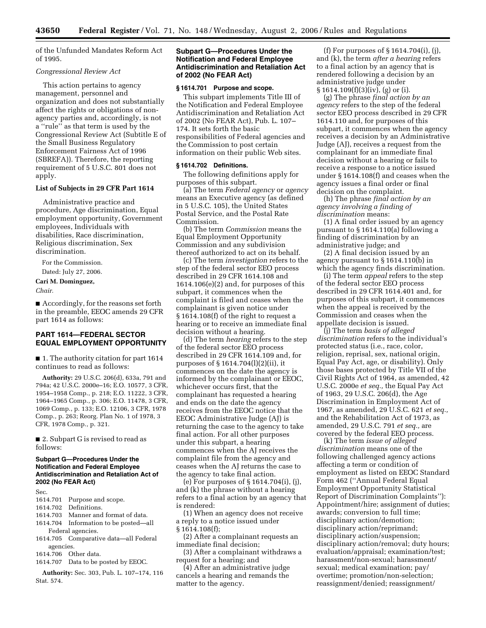of the Unfunded Mandates Reform Act of 1995.

## *Congressional Review Act*

This action pertains to agency management, personnel and organization and does not substantially affect the rights or obligations of nonagency parties and, accordingly, is not a ''rule'' as that term is used by the Congressional Review Act (Subtitle E of the Small Business Regulatory Enforcement Fairness Act of 1996 (SBREFA)). Therefore, the reporting requirement of 5 U.S.C. 801 does not apply.

## **List of Subjects in 29 CFR Part 1614**

Administrative practice and procedure, Age discrimination, Equal employment opportunity, Government employees, Individuals with disabilities, Race discrimination, Religious discrimination, Sex discrimination.

For the Commission.

# Dated: July 27, 2006.

# **Cari M. Dominguez,**

*Chair.* 

■ Accordingly, for the reasons set forth in the preamble, EEOC amends 29 CFR part 1614 as follows:

# **PART 1614—FEDERAL SECTOR EQUAL EMPLOYMENT OPPORTUNITY**

■ 1. The authority citation for part 1614 continues to read as follows:

**Authority:** 29 U.S.C. 206(d), 633a, 791 and 794a; 42 U.S.C. 2000e–16; E.O. 10577, 3 CFR, 1954–1958 Comp., p. 218; E.O. 11222, 3 CFR, 1964–1965 Comp., p. 306; E.O. 11478, 3 CFR, 1069 Comp., p. 133; E.O. 12106, 3 CFR, 1978 Comp., p. 263; Reorg. Plan No. 1 of 1978, 3 CFR, 1978 Comp., p. 321.

■ 2. Subpart G is revised to read as follows:

# **Subpart G—Procedures Under the Notification and Federal Employee Antidiscrimination and Retaliation Act of 2002 (No FEAR Act)**

Sec.

- 1614.701 Purpose and scope.
- 1614.702 Definitions.
- 1614.703 Manner and format of data.
- 1614.704 Information to be posted—all Federal agencies.
- 1614.705 Comparative data—all Federal agencies.

1614.706 Other data.

1614.707 Data to be posted by EEOC.

**Authority:** Sec. 303, Pub. L. 107–174, 116 Stat. 574.

# **Subpart G—Procedures Under the Notification and Federal Employee Antidiscrimination and Retaliation Act of 2002 (No FEAR Act)**

## **§ 1614.701 Purpose and scope.**

This subpart implements Title III of the Notification and Federal Employee Antidiscrimination and Retaliation Act of 2002 (No FEAR Act), Pub. L. 107– 174. It sets forth the basic responsibilities of Federal agencies and the Commission to post certain information on their public Web sites.

# **§ 1614.702 Definitions.**

The following definitions apply for purposes of this subpart.

(a) The term *Federal agency* or *agency*  means an Executive agency (as defined in 5 U.S.C. 105), the United States Postal Service, and the Postal Rate Commission.

(b) The term *Commission* means the Equal Employment Opportunity Commission and any subdivision thereof authorized to act on its behalf.

(c) The term *investigation* refers to the step of the federal sector EEO process described in 29 CFR 1614.108 and 1614.106(e)(2) and, for purposes of this subpart, it commences when the complaint is filed and ceases when the complainant is given notice under § 1614.108(f) of the right to request a hearing or to receive an immediate final decision without a hearing.

(d) The term *hearing* refers to the step of the federal sector EEO process described in 29 CFR 1614.109 and, for purposes of § 1614.704(l)(2)(ii), it commences on the date the agency is informed by the complainant or EEOC, whichever occurs first, that the complainant has requested a hearing and ends on the date the agency receives from the EEOC notice that the EEOC Administrative Judge (AJ) is returning the case to the agency to take final action. For all other purposes under this subpart, a hearing commences when the AJ receives the complaint file from the agency and ceases when the AJ returns the case to the agency to take final action.

(e) For purposes of § 1614.704(i), (j), and (k) the phrase without a hearing refers to a final action by an agency that is rendered:

(1) When an agency does not receive a reply to a notice issued under § 1614.108(f);

(2) After a complainant requests an immediate final decision;

(3) After a complainant withdraws a request for a hearing; and

(4) After an administrative judge cancels a hearing and remands the matter to the agency.

(f) For purposes of § 1614.704(i), (j), and (k), the term *after a hearing* refers to a final action by an agency that is rendered following a decision by an administrative judge under  $§ 1614.109(f)(3)(iv)$ , (g) or (i).

(g) The phrase *final action by an agency* refers to the step of the federal sector EEO process described in 29 CFR 1614.110 and, for purposes of this subpart, it commences when the agency receives a decision by an Administrative Judge (AJ), receives a request from the complainant for an immediate final decision without a hearing or fails to receive a response to a notice issued under § 1614.108(f) and ceases when the agency issues a final order or final decision on the complaint.

(h) The phrase *final action by an agency involving a finding of discrimination* means:

(1) A final order issued by an agency pursuant to § 1614.110(a) following a finding of discrimination by an administrative judge; and

(2) A final decision issued by an agency pursuant to § 1614.110(b) in which the agency finds discrimination.

(i) The term *appeal* refers to the step of the federal sector EEO process described in 29 CFR 1614.401 and, for purposes of this subpart, it commences when the appeal is received by the Commission and ceases when the appellate decision is issued.

(j) The term *basis of alleged discrimination* refers to the individual's protected status (i.e., race, color, religion, reprisal, sex, national origin, Equal Pay Act, age, or disability). Only those bases protected by Title VII of the Civil Rights Act of 1964, as amended, 42 U.S.C. 2000e *et seq.,* the Equal Pay Act of 1963, 29 U.S.C. 206(d), the Age Discrimination in Employment Act of 1967, as amended, 29 U.S.C. 621 *et seq.,*  and the Rehabilitation Act of 1973, as amended, 29 U.S.C. 791 *et seq.,* are covered by the federal EEO process.

(k) The term *issue of alleged discrimination* means one of the following challenged agency actions affecting a term or condition of employment as listed on EEOC Standard Form 462 (''Annual Federal Equal Employment Opportunity Statistical Report of Discrimination Complaints''): Appointment/hire; assignment of duties; awards; conversion to full time; disciplinary action/demotion; disciplinary action/reprimand; disciplinary action/suspension; disciplinary action/removal; duty hours; evaluation/appraisal; examination/test; harassment/non-sexual; harassment/ sexual; medical examination; pay/ overtime; promotion/non-selection; reassignment/denied; reassignment/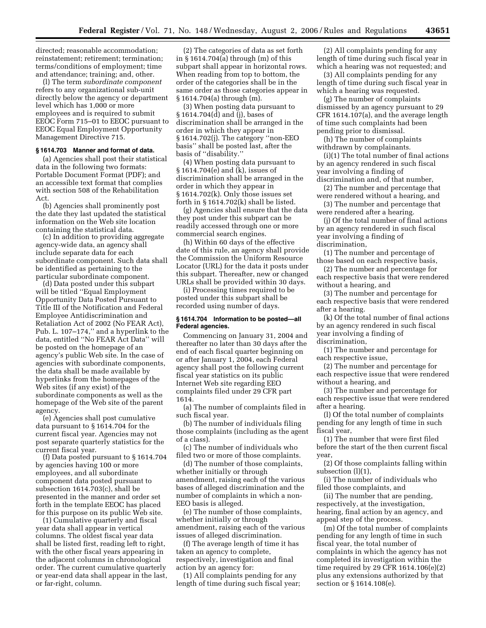directed; reasonable accommodation; reinstatement; retirement; termination; terms/conditions of employment; time and attendance; training; and, other.

(l) The term *subordinate component*  refers to any organizational sub-unit directly below the agency or department level which has 1,000 or more employees and is required to submit EEOC Form 715–01 to EEOC pursuant to EEOC Equal Employment Opportunity Management Directive 715.

#### **§ 1614.703 Manner and format of data.**

(a) Agencies shall post their statistical data in the following two formats: Portable Document Format (PDF); and an accessible text format that complies with section 508 of the Rehabilitation Act.

(b) Agencies shall prominently post the date they last updated the statistical information on the Web site location containing the statistical data.

(c) In addition to providing aggregate agency-wide data, an agency shall include separate data for each subordinate component. Such data shall be identified as pertaining to the particular subordinate component.

(d) Data posted under this subpart will be titled ''Equal Employment Opportunity Data Posted Pursuant to Title III of the Notification and Federal Employee Antidiscrimination and Retaliation Act of 2002 (No FEAR Act), Pub. L. 107–174,'' and a hyperlink to the data, entitled ''No FEAR Act Data'' will be posted on the homepage of an agency's public Web site. In the case of agencies with subordinate components, the data shall be made available by hyperlinks from the homepages of the Web sites (if any exist) of the subordinate components as well as the homepage of the Web site of the parent agency.

(e) Agencies shall post cumulative data pursuant to § 1614.704 for the current fiscal year. Agencies may not post separate quarterly statistics for the current fiscal year.

(f) Data posted pursuant to § 1614.704 by agencies having 100 or more employees, and all subordinate component data posted pursuant to subsection 1614.703(c), shall be presented in the manner and order set forth in the template EEOC has placed for this purpose on its public Web site.

(1) Cumulative quarterly and fiscal year data shall appear in vertical columns. The oldest fiscal year data shall be listed first, reading left to right, with the other fiscal years appearing in the adjacent columns in chronological order. The current cumulative quarterly or year-end data shall appear in the last, or far-right, column.

(2) The categories of data as set forth in § 1614.704(a) through (m) of this subpart shall appear in horizontal rows. When reading from top to bottom, the order of the categories shall be in the same order as those categories appear in § 1614.704(a) through (m).

(3) When posting data pursuant to § 1614.704(d) and (j), bases of discrimination shall be arranged in the order in which they appear in § 1614.702(j). The category ''non-EEO basis'' shall be posted last, after the basis of ''disability.''

(4) When posting data pursuant to § 1614.704(e) and (k), issues of discrimination shall be arranged in the order in which they appear in § 1614.702(k). Only those issues set forth in § 1614.702(k) shall be listed.

(g) Agencies shall ensure that the data they post under this subpart can be readily accessed through one or more commercial search engines.

(h) Within 60 days of the effective date of this rule, an agency shall provide the Commission the Uniform Resource Locator (URL) for the data it posts under this subpart. Thereafter, new or changed URLs shall be provided within 30 days.

(i) Processing times required to be posted under this subpart shall be recorded using number of days.

## **§ 1614.704 Information to be posted—all Federal agencies.**

Commencing on January 31, 2004 and thereafter no later than 30 days after the end of each fiscal quarter beginning on or after January 1, 2004, each Federal agency shall post the following current fiscal year statistics on its public Internet Web site regarding EEO complaints filed under 29 CFR part 1614.

(a) The number of complaints filed in such fiscal year.

(b) The number of individuals filing those complaints (including as the agent of a class).

(c) The number of individuals who filed two or more of those complaints.

(d) The number of those complaints, whether initially or through amendment, raising each of the various bases of alleged discrimination and the number of complaints in which a non-EEO basis is alleged.

(e) The number of those complaints, whether initially or through amendment, raising each of the various issues of alleged discrimination.

(f) The average length of time it has taken an agency to complete, respectively, investigation and final action by an agency for:

(1) All complaints pending for any length of time during such fiscal year;

(2) All complaints pending for any length of time during such fiscal year in which a hearing was not requested; and

(3) All complaints pending for any length of time during such fiscal year in which a hearing was requested.

(g) The number of complaints dismissed by an agency pursuant to 29 CFR 1614.107(a), and the average length of time such complaints had been pending prior to dismissal.

(h) The number of complaints withdrawn by complainants.

(i)(1) The total number of final actions by an agency rendered in such fiscal year involving a finding of discrimination and, of that number,

(2) The number and percentage that

were rendered without a hearing, and (3) The number and percentage that

were rendered after a hearing. (j) Of the total number of final actions

by an agency rendered in such fiscal year involving a finding of discrimination,

(1) The number and percentage of those based on each respective basis,

(2) The number and percentage for each respective basis that were rendered without a hearing, and

(3) The number and percentage for each respective basis that were rendered after a hearing.

(k) Of the total number of final actions by an agency rendered in such fiscal year involving a finding of discrimination,

(1) The number and percentage for each respective issue,

(2) The number and percentage for each respective issue that were rendered without a hearing, and

(3) The number and percentage for each respective issue that were rendered after a hearing.

(l) Of the total number of complaints pending for any length of time in such fiscal year,

(1) The number that were first filed before the start of the then current fiscal year,

(2) Of those complaints falling within subsection (l)(1),

(i) The number of individuals who filed those complaints, and

(ii) The number that are pending, respectively, at the investigation, hearing, final action by an agency, and appeal step of the process.

(m) Of the total number of complaints pending for any length of time in such fiscal year, the total number of complaints in which the agency has not completed its investigation within the time required by 29 CFR 1614.106(e)(2) plus any extensions authorized by that section or § 1614.108(e).